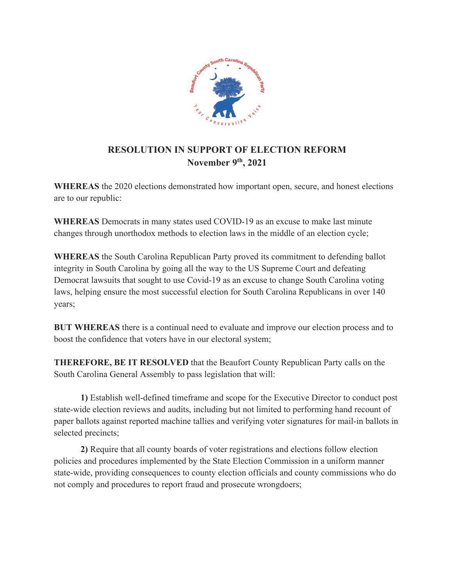

## **RESOLUTION IN SUPPORT OF ELECTION REFORM November 9th, 2021**

**WHEREAS** the 2020 elections demonstrated how important open, secure, and honest elections are to our republic:

**WHEREAS** Democrats in many states used COVID-19 as an excuse to make last minute changes through unorthodox methods to election laws in the middle of an election cycle;

**WHEREAS** the South Carolina Republican Party proved its commitment to defending ballot integrity in South Carolina by going all the way to the US Supreme Court and defeating Democrat lawsuits that sought to use Covid-19 as an excuse to change South Carolina voting laws, helping ensure the most successful election for South Carolina Republicans in over 140 years;

**BUT WHEREAS** there is a continual need to evaluate and improve our election process and to boost the confidence that voters have in our electoral system;

**THEREFORE, BE IT RESOLVED** that the Beaufort County Republican Party calls on the South Carolina General Assembly to pass legislation that will:

**1)** Establish well-defined timeframe and scope for the Executive Director to conduct post state-wide election reviews and audits, including but not limited to performing hand recount of paper ballots against reported machine tallies and verifying voter signatures for mail-in ballots in selected precincts;

**2)** Require that all county boards of voter registrations and elections follow election policies and procedures implemented by the State Election Commission in a uniform manner state-wide, providing consequences to county election officials and county commissions who do not comply and procedures to report fraud and prosecute wrongdoers;